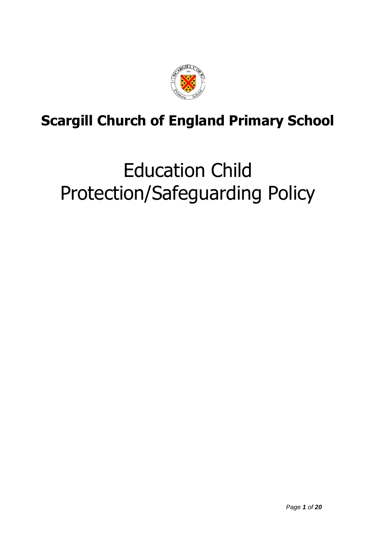

# **Scargill Church of England Primary School**

# Education Child Protection/Safeguarding Policy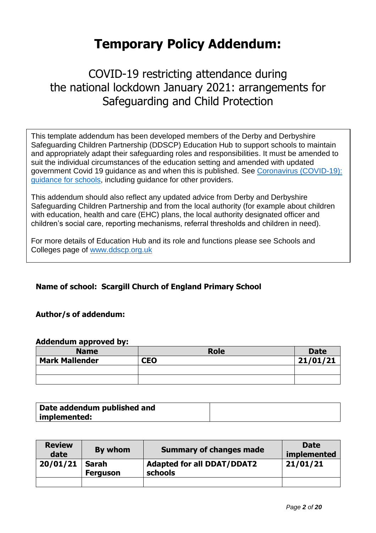# **Temporary Policy Addendum:**

# COVID-19 restricting attendance during the national lockdown January 2021: arrangements for Safeguarding and Child Protection

This template addendum has been developed members of the Derby and Derbyshire Safeguarding Children Partnership (DDSCP) Education Hub to support schools to maintain and appropriately adapt their safeguarding roles and responsibilities. It must be amended to suit the individual circumstances of the education setting and amended with updated government Covid 19 guidance as and when this is published. See [Coronavirus \(COVID-19\):](https://www.gov.uk/government/collections/guidance-for-schools-coronavirus-covid-19)  [guidance for schools,](https://www.gov.uk/government/collections/guidance-for-schools-coronavirus-covid-19) including guidance for other providers.

**Annex 1** This addendum should also reflect any updated advice from Derby and Derbyshire Safeguarding Children Partnership and from the local authority (for example about children with education, health and care (EHC) plans, the local authority designated officer and children's social care, reporting mechanisms, referral thresholds and children in need).

For more details of Education Hub and its role and functions please see Schools and Colleges page of [www.ddscp.org.uk](http://www.ddscp.org.uk/)

# **Name of school: Scargill Church of England Primary School**

# **Author/s of addendum:**

#### **Addendum approved by:**

| <b>Name</b>           | <b>Role</b> | <b>Date</b> |
|-----------------------|-------------|-------------|
| <b>Mark Mallender</b> | <b>CEO</b>  | 21/01/21    |
|                       |             |             |
|                       |             |             |

| Date addendum published and |  |
|-----------------------------|--|
| implemented:                |  |

| <b>Review</b><br>date | By whom                  | <b>Summary of changes made</b>               | <b>Date</b><br>implemented |
|-----------------------|--------------------------|----------------------------------------------|----------------------------|
| 20/01/21              | Sarah<br><b>Ferguson</b> | <b>Adapted for all DDAT/DDAT2</b><br>schools | 21/01/21                   |
|                       |                          |                                              |                            |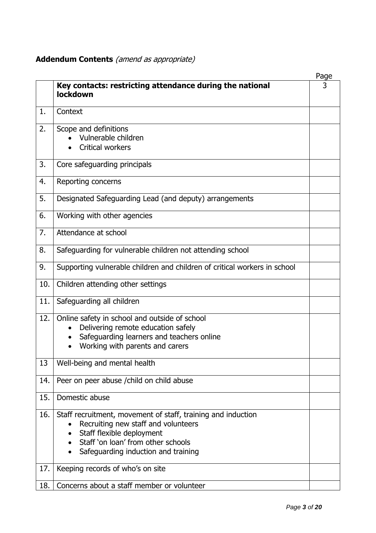# **Addendum Contents** (amend as appropriate)

|     |                                                                                                                                                                                                                            | Page |
|-----|----------------------------------------------------------------------------------------------------------------------------------------------------------------------------------------------------------------------------|------|
|     | Key contacts: restricting attendance during the national<br>lockdown                                                                                                                                                       | 3    |
| 1.  | Context                                                                                                                                                                                                                    |      |
| 2.  | Scope and definitions<br>Vulnerable children<br><b>Critical workers</b>                                                                                                                                                    |      |
| 3.  | Core safeguarding principals                                                                                                                                                                                               |      |
| 4.  | Reporting concerns                                                                                                                                                                                                         |      |
| 5.  | Designated Safeguarding Lead (and deputy) arrangements                                                                                                                                                                     |      |
| 6.  | Working with other agencies                                                                                                                                                                                                |      |
| 7.  | Attendance at school                                                                                                                                                                                                       |      |
| 8.  | Safeguarding for vulnerable children not attending school                                                                                                                                                                  |      |
| 9.  | Supporting vulnerable children and children of critical workers in school                                                                                                                                                  |      |
| 10. | Children attending other settings                                                                                                                                                                                          |      |
| 11. | Safeguarding all children                                                                                                                                                                                                  |      |
| 12. | Online safety in school and outside of school<br>Delivering remote education safely<br>Safeguarding learners and teachers online<br>$\bullet$<br>Working with parents and carers                                           |      |
| 13  | Well-being and mental health                                                                                                                                                                                               |      |
| 14. | Peer on peer abuse / child on child abuse                                                                                                                                                                                  |      |
| 15. | Domestic abuse                                                                                                                                                                                                             |      |
| 16. | Staff recruitment, movement of staff, training and induction<br>Recruiting new staff and volunteers<br>Staff flexible deployment<br>Staff 'on loan' from other schools<br>Safeguarding induction and training<br>$\bullet$ |      |
| 17. | Keeping records of who's on site                                                                                                                                                                                           |      |
| 18. | Concerns about a staff member or volunteer                                                                                                                                                                                 |      |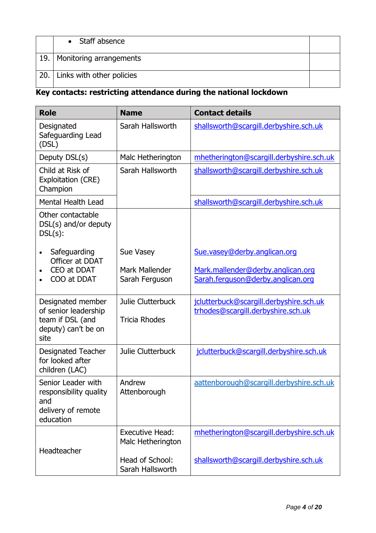| • Staff absence               |  |
|-------------------------------|--|
| 19.   Monitoring arrangements |  |
| 20. Links with other policies |  |

# **Key contacts: restricting attendance during the national lockdown**

| <b>Role</b>                                                                                  | <b>Name</b>                                 | <b>Contact details</b>                                                        |
|----------------------------------------------------------------------------------------------|---------------------------------------------|-------------------------------------------------------------------------------|
| Designated<br>Safeguarding Lead<br>(DSL)                                                     | Sarah Hallsworth                            | shallsworth@scargill.derbyshire.sch.uk                                        |
| Deputy DSL(s)                                                                                | Malc Hetherington                           | mhetherington@scargill.derbyshire.sch.uk                                      |
| Child at Risk of<br>Exploitation (CRE)<br>Champion                                           | Sarah Hallsworth                            | shallsworth@scargill.derbyshire.sch.uk                                        |
| <b>Mental Health Lead</b>                                                                    |                                             | shallsworth@scargill.derbyshire.sch.uk                                        |
| Other contactable<br>DSL(s) and/or deputy<br>$DSL(s)$ :                                      |                                             |                                                                               |
| Safeguarding<br>$\bullet$<br>Officer at DDAT                                                 | Sue Vasey                                   | Sue.vasey@derby.anglican.org                                                  |
| CEO at DDAT<br>COO at DDAT                                                                   | <b>Mark Mallender</b><br>Sarah Ferguson     | Mark.mallender@derby.anglican.org<br>Sarah.ferguson@derby.anglican.org        |
| Designated member<br>of senior leadership<br>team if DSL (and<br>deputy) can't be on<br>site | Julie Clutterbuck<br><b>Tricia Rhodes</b>   | jclutterbuck@scargill.derbyshire.sch.uk<br>trhodes@scargill.derbyshire.sch.uk |
| <b>Designated Teacher</b><br>for looked after<br>children (LAC)                              | Julie Clutterbuck                           | jclutterbuck@scargill.derbyshire.sch.uk                                       |
| Senior Leader with<br>responsibility quality<br>and<br>delivery of remote<br>education       | Andrew<br>Attenborough                      | aattenborough@scargill.derbyshire.sch.uk                                      |
| Headteacher                                                                                  | <b>Executive Head:</b><br>Malc Hetherington | mhetherington@scargill.derbyshire.sch.uk                                      |
|                                                                                              | Head of School:<br>Sarah Hallsworth         | shallsworth@scargill.derbyshire.sch.uk                                        |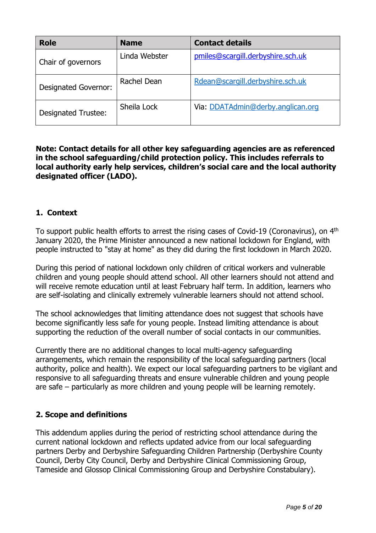| <b>Role</b>                 | <b>Name</b>   | <b>Contact details</b>            |
|-----------------------------|---------------|-----------------------------------|
| Chair of governors          | Linda Webster | pmiles@scargill.derbyshire.sch.uk |
| <b>Designated Governor:</b> | Rachel Dean   | Rdean@scargill.derbyshire.sch.uk  |
| <b>Designated Trustee:</b>  | Sheila Lock   | Via: DDATAdmin@derby.anglican.org |

# **Note: Contact details for all other key safeguarding agencies are as referenced in the school safeguarding/child protection policy. This includes referrals to local authority early help services, children's social care and the local authority designated officer (LADO).**

# **1. Context**

To support public health efforts to arrest the rising cases of Covid-19 (Coronavirus), on 4<sup>th</sup> January 2020, the Prime Minister announced a new national lockdown for England, with people instructed to "stay at home" as they did during the first lockdown in March 2020.

During this period of national lockdown only children of critical workers and vulnerable children and young people should attend school. All other learners should not attend and will receive remote education until at least February half term. In addition, learners who are self-isolating and clinically extremely vulnerable learners should not attend school.

The school acknowledges that limiting attendance does not suggest that schools have become significantly less safe for young people. Instead limiting attendance is about supporting the reduction of the overall number of social contacts in our communities.

Currently there are no additional changes to local multi-agency safeguarding arrangements, which remain the responsibility of the local safeguarding partners (local authority, police and health). We expect our local safeguarding partners to be vigilant and responsive to all safeguarding threats and ensure vulnerable children and young people are safe – particularly as more children and young people will be learning remotely.

# **2. Scope and definitions**

This addendum applies during the period of restricting school attendance during the current national lockdown and reflects updated advice from our local safeguarding partners Derby and Derbyshire Safeguarding Children Partnership (Derbyshire County Council, Derby City Council, Derby and Derbyshire Clinical Commissioning Group, Tameside and Glossop Clinical Commissioning Group and Derbyshire Constabulary).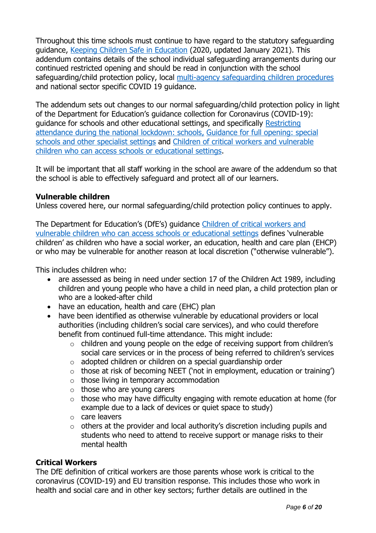Throughout this time schools must continue to have regard to the statutory safeguarding guidance, [Keeping Children Safe in Education](https://www.gov.uk/government/publications/keeping-children-safe-in-education--2) (2020, updated January 2021). This addendum contains details of the school individual safeguarding arrangements during our continued restricted opening and should be read in conjunction with the school safeguarding/child protection policy, local [multi-agency safeguarding children procedures](https://derbyshirescbs.proceduresonline.com/index.htm) and national sector specific COVID 19 guidance.

The addendum sets out changes to our normal safeguarding/child protection policy in light of the Department for Education's guidance collection for Coronavirus (COVID-19): guidance for schools and other educational settings, and specifically [Restricting](https://www.gov.uk/government/publications/actions-for-schools-during-the-coronavirus-outbreak?utm_medium=email&utm_campaign=govuk-notifications&utm_source=08720782-d5c2-423a-90bf-6450e8ad7640&utm_content=daily)  [attendance during the national lockdown: schools,](https://www.gov.uk/government/publications/actions-for-schools-during-the-coronavirus-outbreak?utm_medium=email&utm_campaign=govuk-notifications&utm_source=08720782-d5c2-423a-90bf-6450e8ad7640&utm_content=daily) [Guidance for full opening: special](https://www.gov.uk/government/publications/guidance-for-full-opening-special-schools-and-other-specialist-settings)  [schools and other specialist settings](https://www.gov.uk/government/publications/guidance-for-full-opening-special-schools-and-other-specialist-settings) and [Children of critical workers and vulnerable](https://www.gov.uk/government/publications/coronavirus-covid-19-maintaining-educational-provision/guidance-for-schools-colleges-and-local-authorities-on-maintaining-educational-provision)  [children who can access schools or educational settings.](https://www.gov.uk/government/publications/coronavirus-covid-19-maintaining-educational-provision/guidance-for-schools-colleges-and-local-authorities-on-maintaining-educational-provision)

It will be important that all staff working in the school are aware of the addendum so that the school is able to effectively safeguard and protect all of our learners.

# **Vulnerable children**

Unless covered here, our normal safeguarding/child protection policy continues to apply.

The Department for Education's (DfE's) guidance [Children of critical workers and](https://www.gov.uk/government/publications/coronavirus-covid-19-maintaining-educational-provision/guidance-for-schools-colleges-and-local-authorities-on-maintaining-educational-provision)  [vulnerable children who can access schools or educational settings](https://www.gov.uk/government/publications/coronavirus-covid-19-maintaining-educational-provision/guidance-for-schools-colleges-and-local-authorities-on-maintaining-educational-provision) defines 'vulnerable children' as children who have a social worker, an education, health and care plan (EHCP) or who may be vulnerable for another reason at local discretion ("otherwise vulnerable").

This includes children who:

- are assessed as being in need under section 17 of the Children Act 1989, including children and young people who have a child in need plan, a child protection plan or who are a looked-after child
- have an education, health and care (EHC) plan
- have been identified as otherwise vulnerable by educational providers or local authorities (including children's social care services), and who could therefore benefit from continued full-time attendance. This might include:
	- o children and young people on the edge of receiving support from children's social care services or in the process of being referred to children's services
	- $\circ$  adopted children or children on a special quardianship order
	- $\circ$  those at risk of becoming NEET ('not in employment, education or training')
	- $\circ$  those living in temporary accommodation
	- $\circ$  those who are young carers
	- $\circ$  those who may have difficulty engaging with remote education at home (for example due to a lack of devices or quiet space to study)
	- o care leavers
	- $\circ$  others at the provider and local authority's discretion including pupils and students who need to attend to receive support or manage risks to their mental health

# **Critical Workers**

The DfE definition of critical workers are those parents whose work is critical to the coronavirus (COVID-19) and EU transition response. This includes those who work in health and social care and in other key sectors; further details are outlined in the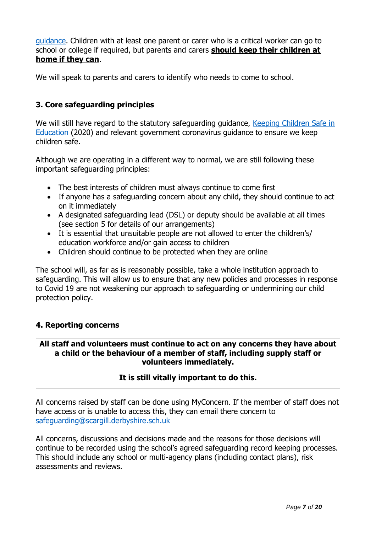[guidance.](https://www.gov.uk/government/publications/coronavirus-covid-19-maintaining-educational-provision/guidance-for-schools-colleges-and-local-authorities-on-maintaining-educational-provision) Children with at least one parent or carer who is a critical worker can go to school or college if required, but parents and carers **should keep their children at home if they can**.

We will speak to parents and carers to identify who needs to come to school.

# **3. Core safeguarding principles**

We will still have regard to the statutory safeguarding guidance, Keeping Children Safe in [Education](https://www.gov.uk/government/publications/keeping-children-safe-in-education--2) (2020) and relevant government coronavirus guidance to ensure we keep children safe.

Although we are operating in a different way to normal, we are still following these important safeguarding principles:

- The best interests of children must always continue to come first
- If anyone has a safeguarding concern about any child, they should continue to act on it immediately
- A designated safeguarding lead (DSL) or deputy should be available at all times (see section 5 for details of our arrangements)
- It is essential that unsuitable people are not allowed to enter the children's/ education workforce and/or gain access to children
- Children should continue to be protected when they are online

The school will, as far as is reasonably possible, take a whole institution approach to safeguarding. This will allow us to ensure that any new policies and processes in response to Covid 19 are not weakening our approach to safeguarding or undermining our child protection policy.

# **4. Reporting concerns**

# **All staff and volunteers must continue to act on any concerns they have about a child or the behaviour of a member of staff, including supply staff or volunteers immediately.**

# **It is still vitally important to do this.**

All concerns raised by staff can be done using MyConcern. If the member of staff does not have access or is unable to access this, they can email there concern to [safeguarding@scargill.derbyshire.sch.uk](mailto:safeguarding@scargill.derbyshire.sch.uk)

All concerns, discussions and decisions made and the reasons for those decisions will continue to be recorded using the school's agreed safeguarding record keeping processes. This should include any school or multi-agency plans (including contact plans), risk assessments and reviews.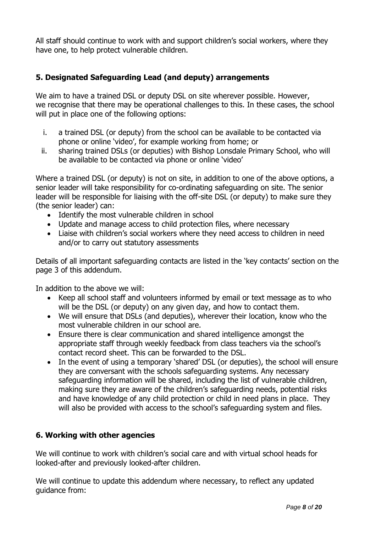All staff should continue to work with and support children's social workers, where they have one, to help protect vulnerable children.

# **5. Designated Safeguarding Lead (and deputy) arrangements**

We aim to have a trained DSL or deputy DSL on site wherever possible. However, we recognise that there may be operational challenges to this. In these cases, the school will put in place one of the following options:

- i. a trained DSL (or deputy) from the school can be available to be contacted via phone or online 'video', for example working from home; or
- ii. sharing trained DSLs (or deputies) with Bishop Lonsdale Primary School, who will be available to be contacted via phone or online 'video'

Where a trained DSL (or deputy) is not on site, in addition to one of the above options, a senior leader will take responsibility for co-ordinating safeguarding on site. The senior leader will be responsible for liaising with the off-site DSL (or deputy) to make sure they (the senior leader) can:

- Identify the most vulnerable children in school
- Update and manage access to child protection files, where necessary
- Liaise with children's social workers where they need access to children in need and/or to carry out statutory assessments

Details of all important safeguarding contacts are listed in the 'key contacts' section on the page 3 of this addendum.

In addition to the above we will:

- Keep all school staff and volunteers informed by email or text message as to who will be the DSL (or deputy) on any given day, and how to contact them.
- We will ensure that DSLs (and deputies), wherever their location, know who the most vulnerable children in our school are.
- Ensure there is clear communication and shared intelligence amongst the appropriate staff through weekly feedback from class teachers via the school's contact record sheet. This can be forwarded to the DSL.
- In the event of using a temporary 'shared' DSL (or deputies), the school will ensure they are conversant with the schools safeguarding systems. Any necessary safeguarding information will be shared, including the list of vulnerable children, making sure they are aware of the children's safeguarding needs, potential risks and have knowledge of any child protection or child in need plans in place. They will also be provided with access to the school's safeguarding system and files.

# **6. Working with other agencies**

We will continue to work with children's social care and with virtual school heads for looked-after and previously looked-after children.

We will continue to update this addendum where necessary, to reflect any updated guidance from: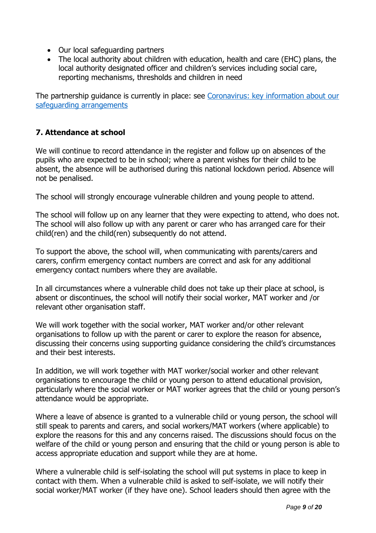- Our local safeguarding partners
- The local authority about children with education, health and care (EHC) plans, the local authority designated officer and children's services including social care, reporting mechanisms, thresholds and children in need

The partnership guidance is currently in place: see [Coronavirus: key information about our](https://www.ddscp.org.uk/coronavirus-safeguarding-arrangements/)  [safeguarding arrangements](https://www.ddscp.org.uk/coronavirus-safeguarding-arrangements/)

# **7. Attendance at school**

We will continue to record attendance in the register and follow up on absences of the pupils who are expected to be in school; where a parent wishes for their child to be absent, the absence will be authorised during this national lockdown period. Absence will not be penalised.

The school will strongly encourage vulnerable children and young people to attend.

The school will follow up on any learner that they were expecting to attend, who does not. The school will also follow up with any parent or carer who has arranged care for their child(ren) and the child(ren) subsequently do not attend.

To support the above, the school will, when communicating with parents/carers and carers, confirm emergency contact numbers are correct and ask for any additional emergency contact numbers where they are available.

In all circumstances where a vulnerable child does not take up their place at school, is absent or discontinues, the school will notify their social worker, MAT worker and /or relevant other organisation staff.

We will work together with the social worker, MAT worker and/or other relevant organisations to follow up with the parent or carer to explore the reason for absence, discussing their concerns using supporting guidance considering the child's circumstances and their best interests.

In addition, we will work together with MAT worker/social worker and other relevant organisations to encourage the child or young person to attend educational provision, particularly where the social worker or MAT worker agrees that the child or young person's attendance would be appropriate.

Where a leave of absence is granted to a vulnerable child or young person, the school will still speak to parents and carers, and social workers/MAT workers (where applicable) to explore the reasons for this and any concerns raised. The discussions should focus on the welfare of the child or young person and ensuring that the child or young person is able to access appropriate education and support while they are at home.

Where a vulnerable child is self-isolating the school will put systems in place to keep in contact with them. When a vulnerable child is asked to self-isolate, we will notify their social worker/MAT worker (if they have one). School leaders should then agree with the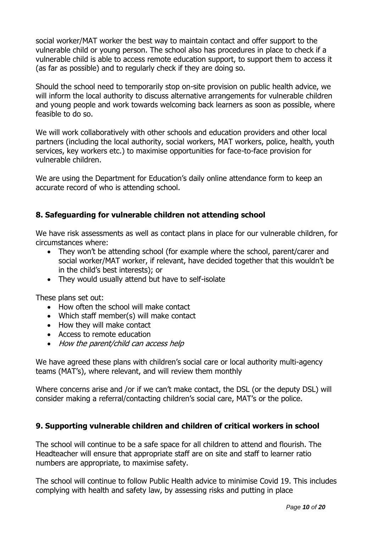social worker/MAT worker the best way to maintain contact and offer support to the vulnerable child or young person. The school also has procedures in place to check if a vulnerable child is able to access remote education support, to support them to access it (as far as possible) and to regularly check if they are doing so.

Should the school need to temporarily stop on-site provision on public health advice, we will inform the local authority to discuss alternative arrangements for vulnerable children and young people and work towards welcoming back learners as soon as possible, where feasible to do so.

We will work collaboratively with other schools and education providers and other local partners (including the local authority, social workers, MAT workers, police, health, youth services, key workers etc.) to maximise opportunities for face-to-face provision for vulnerable children.

We are using the Department for Education's daily online attendance form to keep an accurate record of who is attending school.

# **8. Safeguarding for vulnerable children not attending school**

We have risk assessments as well as contact plans in place for our vulnerable children, for circumstances where:

- They won't be attending school (for example where the school, parent/carer and social worker/MAT worker, if relevant, have decided together that this wouldn't be in the child's best interests); or
- They would usually attend but have to self-isolate

These plans set out:

- How often the school will make contact
- Which staff member(s) will make contact
- How they will make contact
- Access to remote education
- How the parent/child can access help

We have agreed these plans with children's social care or local authority multi-agency teams (MAT's), where relevant, and will review them monthly

Where concerns arise and /or if we can't make contact, the DSL (or the deputy DSL) will consider making a referral/contacting children's social care, MAT's or the police.

# **9. Supporting vulnerable children and children of critical workers in school**

The school will continue to be a safe space for all children to attend and flourish. The Headteacher will ensure that appropriate staff are on site and staff to learner ratio numbers are appropriate, to maximise safety.

The school will continue to follow Public Health advice to minimise Covid 19. This includes complying with health and safety law, by assessing risks and putting in place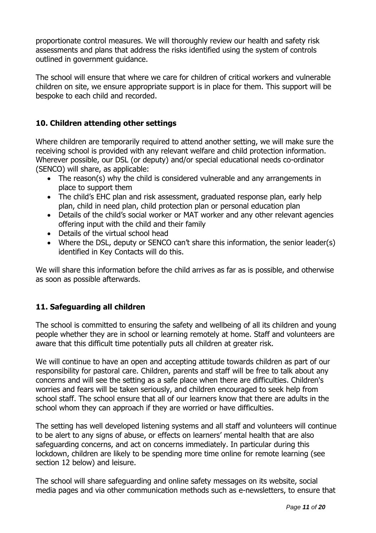proportionate control measures. We will thoroughly review our health and safety risk assessments and plans that address the risks identified using the system of controls outlined in government guidance.

The school will ensure that where we care for children of critical workers and vulnerable children on site, we ensure appropriate support is in place for them. This support will be bespoke to each child and recorded.

# **10. Children attending other settings**

Where children are temporarily required to attend another setting, we will make sure the receiving school is provided with any relevant welfare and child protection information. Wherever possible, our DSL (or deputy) and/or special educational needs co-ordinator (SENCO) will share, as applicable:

- The reason(s) why the child is considered vulnerable and any arrangements in place to support them
- The child's EHC plan and risk assessment, graduated response plan, early help plan, child in need plan, child protection plan or personal education plan
- Details of the child's social worker or MAT worker and any other relevant agencies offering input with the child and their family
- Details of the virtual school head
- Where the DSL, deputy or SENCO can't share this information, the senior leader(s) identified in Key Contacts will do this.

We will share this information before the child arrives as far as is possible, and otherwise as soon as possible afterwards.

# **11. Safeguarding all children**

The school is committed to ensuring the safety and wellbeing of all its children and young people whether they are in school or learning remotely at home. Staff and volunteers are aware that this difficult time potentially puts all children at greater risk.

We will continue to have an open and accepting attitude towards children as part of our responsibility for pastoral care. Children, parents and staff will be free to talk about any concerns and will see the setting as a safe place when there are difficulties. Children's worries and fears will be taken seriously, and children encouraged to seek help from school staff. The school ensure that all of our learners know that there are adults in the school whom they can approach if they are worried or have difficulties.

The setting has well developed listening systems and all staff and volunteers will continue to be alert to any signs of abuse, or effects on learners' mental health that are also safeguarding concerns, and act on concerns immediately. In particular during this lockdown, children are likely to be spending more time online for remote learning (see section 12 below) and leisure.

The school will share safeguarding and online safety messages on its website, social media pages and via other communication methods such as e-newsletters, to ensure that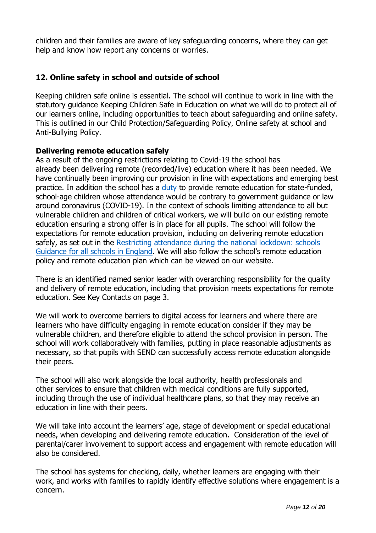children and their families are aware of key safeguarding concerns, where they can get help and know how report any concerns or worries.

# **12. Online safety in school and outside of school**

Keeping children safe online is essential. The school will continue to work in line with the statutory guidance Keeping Children Safe in Education on what we will do to protect all of our learners online, including opportunities to teach about safeguarding and online safety. This is outlined in our Child Protection/Safeguarding Policy, Online safety at school and Anti-Bullying Policy.

## **Delivering remote education safely**

As a result of the ongoing restrictions relating to Covid-19 the school has already been delivering remote (recorded/live) education where it has been needed. We have continually been improving our provision in line with expectations and emerging best practice. In addition the school has a [duty](https://www.gov.uk/government/publications/remote-education-temporary-continuity-direction-explanatory-note) to provide remote education for state-funded, school-age children whose attendance would be contrary to government guidance or law around coronavirus (COVID-19). In the context of schools limiting attendance to all but vulnerable children and children of critical workers, we will build on our existing remote education ensuring a strong offer is in place for all pupils. The school will follow the expectations for remote education provision, including on delivering remote education safely, as set out in the [Restricting attendance during the national lockdown: schools](https://assets.publishing.service.gov.uk/government/uploads/system/uploads/attachment_data/file/952443/210114_School_national_restrictions_guidance_FINAL_14012021.pdf)  [Guidance for all schools in England.](https://assets.publishing.service.gov.uk/government/uploads/system/uploads/attachment_data/file/952443/210114_School_national_restrictions_guidance_FINAL_14012021.pdf) We will also follow the school's remote education policy and remote education plan which can be viewed on our website.

There is an identified named senior leader with overarching responsibility for the quality and delivery of remote education, including that provision meets expectations for remote education. See Key Contacts on page 3.

We will work to overcome barriers to digital access for learners and where there are learners who have difficulty engaging in remote education consider if they may be vulnerable children, and therefore eligible to attend the school provision in person. The school will work collaboratively with families, putting in place reasonable adjustments as necessary, so that pupils with SEND can successfully access remote education alongside their peers.

The school will also work alongside the local authority, health professionals and other services to ensure that children with medical conditions are fully supported, including through the use of individual healthcare plans, so that they may receive an education in line with their peers.

We will take into account the learners' age, stage of development or special educational needs, when developing and delivering remote education. Consideration of the level of parental/carer involvement to support access and engagement with remote education will also be considered.

The school has systems for checking, daily, whether learners are engaging with their work, and works with families to rapidly identify effective solutions where engagement is a concern.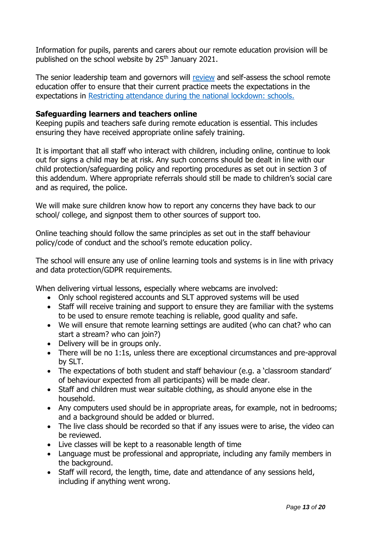Information for pupils, parents and carers about our remote education provision will be published on the school website by 25<sup>th</sup> January 2021.

The senior leadership team and governors will [review](https://www.gov.uk/government/publications/review-your-remote-education-provision?utm_medium=email&utm_campaign=govuk-notifications&utm_source=53522a25-c275-4777-996d-ade6d8f11bd5&utm_content=daily) and self-assess the school remote education offer to ensure that their current practice meets the expectations in the expectations in [Restricting attendance during the national lockdown: schools.](https://www.gov.uk/government/publications/actions-for-schools-during-the-coronavirus-outbreak)

## **Safeguarding learners and teachers online**

Keeping pupils and teachers safe during remote education is essential. This includes ensuring they have received appropriate online safely training.

It is important that all staff who interact with children, including online, continue to look out for signs a child may be at risk. Any such concerns should be dealt in line with our child protection/safeguarding policy and reporting procedures as set out in section 3 of this addendum. Where appropriate referrals should still be made to children's social care and as required, the police.

We will make sure children know how to report any concerns they have back to our school/ college, and signpost them to other sources of support too.

Online teaching should follow the same principles as set out in the staff behaviour policy/code of conduct and the school's remote education policy.

The school will ensure any use of online learning tools and systems is in line with privacy and data protection/GDPR requirements.

When delivering virtual lessons, especially where webcams are involved:

- Only school registered accounts and SLT approved systems will be used
- Staff will receive training and support to ensure they are familiar with the systems to be used to ensure remote teaching is reliable, good quality and safe.
- We will ensure that remote learning settings are audited (who can chat? who can start a stream? who can join?)
- Delivery will be in groups only.
- There will be no 1:1s, unless there are exceptional circumstances and pre-approval by SLT.
- The expectations of both student and staff behaviour (e.g. a 'classroom standard' of behaviour expected from all participants) will be made clear.
- Staff and children must wear suitable clothing, as should anyone else in the household.
- Any computers used should be in appropriate areas, for example, not in bedrooms; and a background should be added or blurred.
- The live class should be recorded so that if any issues were to arise, the video can be reviewed.
- Live classes will be kept to a reasonable length of time
- Language must be professional and appropriate, including any family members in the background.
- Staff will record, the length, time, date and attendance of any sessions held, including if anything went wrong.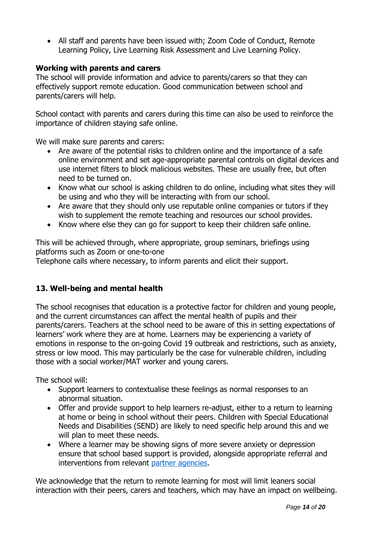• All staff and parents have been issued with; Zoom Code of Conduct, Remote Learning Policy, Live Learning Risk Assessment and Live Learning Policy.

# **Working with parents and carers**

The school will provide information and advice to parents/carers so that they can effectively support remote education. Good communication between school and parents/carers will help.

School contact with parents and carers during this time can also be used to reinforce the importance of children staying safe online.

We will make sure parents and carers:

- Are aware of the potential risks to children online and the importance of a safe online environment and set age-appropriate parental controls on digital devices and use internet filters to block malicious websites. These are usually free, but often need to be turned on.
- Know what our school is asking children to do online, including what sites they will be using and who they will be interacting with from our school.
- Are aware that they should only use reputable online companies or tutors if they wish to supplement the remote teaching and resources our school provides.
- Know where else they can go for support to keep their children safe online.

This will be achieved through, where appropriate, group seminars, briefings using platforms such as Zoom or one-to-one

Telephone calls where necessary, to inform parents and elicit their support.

# **13. Well-being and mental health**

The school recognises that education is a protective factor for children and young people, and the current circumstances can affect the mental health of pupils and their parents/carers. Teachers at the school need to be aware of this in setting expectations of learners' work where they are at home. Learners may be experiencing a variety of emotions in response to the on-going Covid 19 outbreak and restrictions, such as anxiety, stress or low mood. This may particularly be the case for vulnerable children, including those with a social worker/MAT worker and young carers.

The school will:

- Support learners to contextualise these feelings as normal responses to an abnormal situation.
- Offer and provide support to help learners re-adjust, either to a return to learning at home or being in school without their peers. Children with Special Educational Needs and Disabilities (SEND) are likely to need specific help around this and we will plan to meet these needs.
- Where a learner may be showing signs of more severe anxiety or depression ensure that school based support is provided, alongside appropriate referral and interventions from relevant [partner agencies.](https://derbyandderbyshireemotionalhealthandwellbeing.uk/)

We acknowledge that the return to remote learning for most will limit leaners social interaction with their peers, carers and teachers, which may have an impact on wellbeing.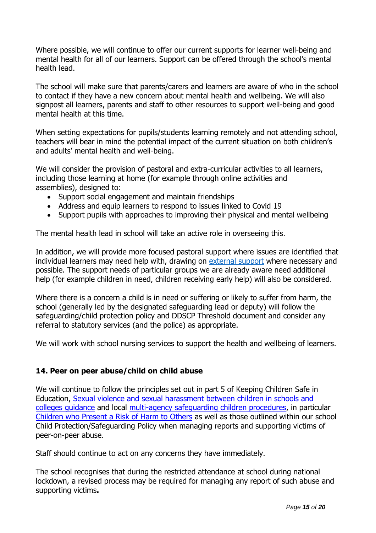Where possible, we will continue to offer our current supports for learner well-being and mental health for all of our learners. Support can be offered through the school's mental health lead.

The school will make sure that parents/carers and learners are aware of who in the school to contact if they have a new concern about mental health and wellbeing. We will also signpost all learners, parents and staff to other resources to support well-being and good mental health at this time.

When setting expectations for pupils/students learning remotely and not attending school, teachers will bear in mind the potential impact of the current situation on both children's and adults' mental health and well-being.

We will consider the provision of pastoral and extra-curricular activities to all learners, including those learning at home (for example through online activities and assemblies), designed to:

- Support social engagement and maintain friendships
- Address and equip learners to respond to issues linked to Covid 19
- Support pupils with approaches to improving their physical and mental wellbeing

The mental health lead in school will take an active role in overseeing this.

In addition, we will provide more focused pastoral support where issues are identified that individual learners may need help with, drawing on [external support](https://derbyandderbyshireemotionalhealthandwellbeing.uk/) where necessary and possible. The support needs of particular groups we are already aware need additional help (for example children in need, children receiving early help) will also be considered.

Where there is a concern a child is in need or suffering or likely to suffer from harm, the school (generally led by the designated safeguarding lead or deputy) will follow the safeguarding/child protection policy and DDSCP Threshold document and consider any referral to statutory services (and the police) as appropriate.

We will work with school nursing services to support the health and wellbeing of learners.

# **14. Peer on peer abuse/child on child abuse**

We will continue to follow the principles set out in part 5 of Keeping Children Safe in Education, Sexual violence and [sexual harassment between children in schools and](https://www.gov.uk/government/publications/sexual-violence-and-sexual-harassment-between-children-in-schools-and-colleges)  [colleges guidance](https://www.gov.uk/government/publications/sexual-violence-and-sexual-harassment-between-children-in-schools-and-colleges) and local [multi-agency safeguarding children procedures,](https://derbyshirescbs.proceduresonline.com/contents.html) in particular [Children who Present a Risk of Harm to Others](https://derbyshirescbs.proceduresonline.com/p_abuse_by_ch_yp.html) as well as those outlined within our school Child Protection/Safeguarding Policy when managing reports and supporting victims of peer-on-peer abuse.

Staff should continue to act on any concerns they have immediately.

The school recognises that during the restricted attendance at school during national lockdown, a revised process may be required for managing any report of such abuse and supporting victims**.**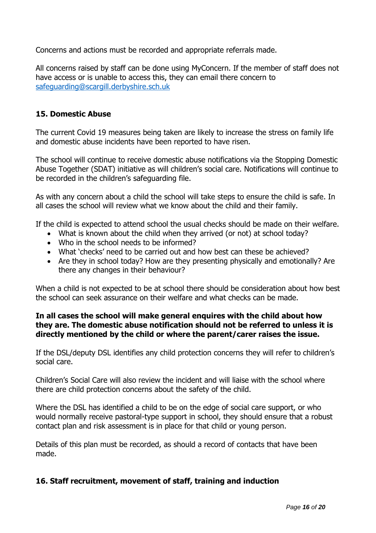Concerns and actions must be recorded and appropriate referrals made.

All concerns raised by staff can be done using MyConcern. If the member of staff does not have access or is unable to access this, they can email there concern to [safeguarding@scargill.derbyshire.sch.uk](mailto:safeguarding@scargill.derbyshire.sch.uk)

# **15. Domestic Abuse**

The current Covid 19 measures being taken are likely to increase the stress on family life and domestic abuse incidents have been reported to have risen.

The school will continue to receive domestic abuse notifications via the Stopping Domestic Abuse Together (SDAT) initiative as will children's social care. Notifications will continue to be recorded in the children's safeguarding file.

As with any concern about a child the school will take steps to ensure the child is safe. In all cases the school will review what we know about the child and their family.

If the child is expected to attend school the usual checks should be made on their welfare.

- What is known about the child when they arrived (or not) at school today?
- Who in the school needs to be informed?
- What 'checks' need to be carried out and how best can these be achieved?
- Are they in school today? How are they presenting physically and emotionally? Are there any changes in their behaviour?

When a child is not expected to be at school there should be consideration about how best the school can seek assurance on their welfare and what checks can be made.

# **In all cases the school will make general enquires with the child about how they are. The domestic abuse notification should not be referred to unless it is directly mentioned by the child or where the parent/carer raises the issue.**

If the DSL/deputy DSL identifies any child protection concerns they will refer to children's social care.

Children's Social Care will also review the incident and will liaise with the school where there are child protection concerns about the safety of the child.

Where the DSL has identified a child to be on the edge of social care support, or who would normally receive pastoral-type support in school, they should ensure that a robust contact plan and risk assessment is in place for that child or young person.

Details of this plan must be recorded, as should a record of contacts that have been made.

# **16. Staff recruitment, movement of staff, training and induction**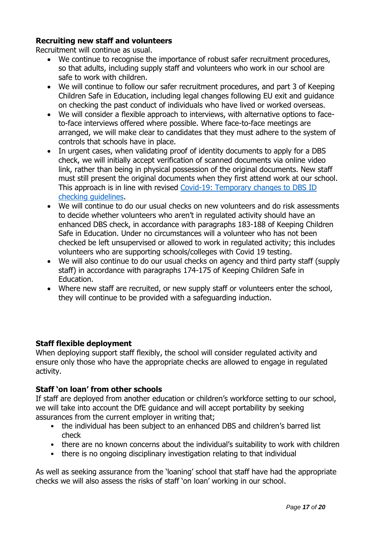# **Recruiting new staff and volunteers**

Recruitment will continue as usual.

- We continue to recognise the importance of robust safer recruitment procedures, so that adults, including supply staff and volunteers who work in our school are safe to work with children.
- We will continue to follow our safer recruitment procedures, and part 3 of Keeping Children Safe in Education, including legal changes following EU exit and guidance on checking the past conduct of individuals who have lived or worked overseas.
- We will consider a flexible approach to interviews, with alternative options to faceto-face interviews offered where possible. Where face-to-face meetings are arranged, we will make clear to candidates that they must adhere to the system of controls that schools have in place.
- In urgent cases, when validating proof of identity documents to apply for a DBS check, we will initially accept verification of scanned documents via online video link, rather than being in physical possession of the original documents. New staff must still present the original documents when they first attend work at our school. This approach is in line with revised [Covid-19: Temporary changes to DBS ID](https://www.gov.uk/government/news/covid-19-changes-to-dbs-id-checking-guidelines)  [checking guidelines.](https://www.gov.uk/government/news/covid-19-changes-to-dbs-id-checking-guidelines)
- We will continue to do our usual checks on new volunteers and do risk assessments to decide whether volunteers who aren't in regulated activity should have an enhanced DBS check, in accordance with paragraphs 183-188 of Keeping Children Safe in Education. Under no circumstances will a volunteer who has not been checked be left unsupervised or allowed to work in regulated activity; this includes volunteers who are supporting schools/colleges with Covid 19 testing.
- We will also continue to do our usual checks on agency and third party staff (supply staff) in accordance with paragraphs 174-175 of Keeping Children Safe in Education.
- Where new staff are recruited, or new supply staff or volunteers enter the school, they will continue to be provided with a safeguarding induction.

# **Staff flexible deployment**

When deploying support staff flexibly, the school will consider regulated activity and ensure only those who have the appropriate checks are allowed to engage in regulated activity.

# **Staff 'on loan' from other schools**

If staff are deployed from another education or children's workforce setting to our school, we will take into account the DfE guidance and will accept portability by seeking assurances from the current employer in writing that;

- the individual has been subject to an enhanced DBS and children's barred list check
- there are no known concerns about the individual's suitability to work with children
- there is no ongoing disciplinary investigation relating to that individual

As well as seeking assurance from the 'loaning' school that staff have had the appropriate checks we will also assess the risks of staff 'on loan' working in our school.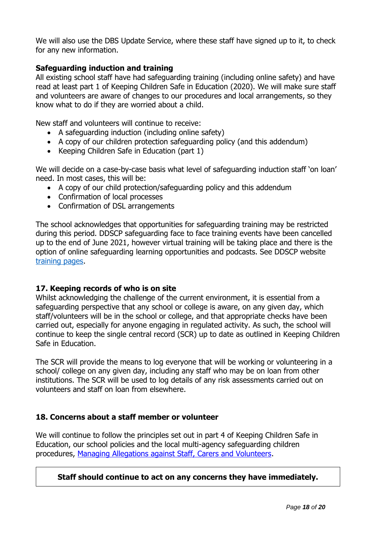We will also use the DBS Update Service, where these staff have signed up to it, to check for any new information.

# **Safeguarding induction and training**

All existing school staff have had safeguarding training (including online safety) and have read at least part 1 of Keeping Children Safe in Education (2020). We will make sure staff and volunteers are aware of changes to our procedures and local arrangements, so they know what to do if they are worried about a child.

New staff and volunteers will continue to receive:

- A safeguarding induction (including online safety)
- A copy of our children protection safeguarding policy (and this addendum)
- Keeping Children Safe in Education (part 1)

We will decide on a case-by-case basis what level of safeguarding induction staff 'on loan' need. In most cases, this will be:

- A copy of our child protection/safeguarding policy and this addendum
- Confirmation of local processes
- Confirmation of DSL arrangements

The school acknowledges that opportunities for safeguarding training may be restricted during this period. DDSCP safeguarding face to face training events have been cancelled up to the end of June 2021, however virtual training will be taking place and there is the option of online safeguarding learning opportunities and podcasts. See DDSCP website [training pages.](https://www.ddscp.org.uk/training/)

# **17. Keeping records of who is on site**

Whilst acknowledging the challenge of the current environment, it is essential from a safeguarding perspective that any school or college is aware, on any given day, which staff/volunteers will be in the school or college, and that appropriate checks have been carried out, especially for anyone engaging in regulated activity. As such, the school will continue to keep the single central record (SCR) up to date as outlined in Keeping Children Safe in Education.

The SCR will provide the means to log everyone that will be working or volunteering in a school/ college on any given day, including any staff who may be on loan from other institutions. The SCR will be used to log details of any risk assessments carried out on volunteers and staff on loan from elsewhere.

# **18. Concerns about a staff member or volunteer**

We will continue to follow the principles set out in part 4 of Keeping Children Safe in Education, our school policies and the local multi-agency safeguarding children procedures, [Managing Allegations against Staff, Carers and Volunteers.](https://derbyshirescbs.proceduresonline.com/p_alleg_staff_carer_volunteer.html)

# **Staff should continue to act on any concerns they have immediately.**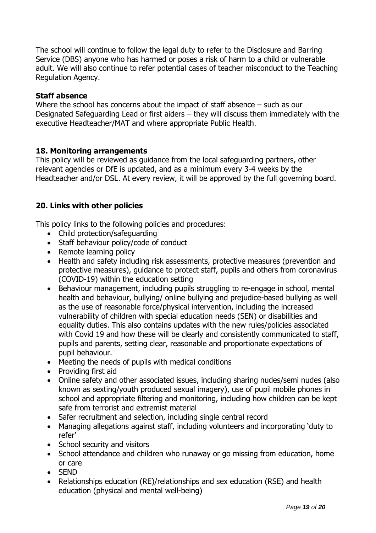The school will continue to follow the legal duty to refer to the Disclosure and Barring Service (DBS) anyone who has harmed or poses a risk of harm to a child or vulnerable adult. We will also continue to refer potential cases of teacher misconduct to the Teaching Regulation Agency.

## **Staff absence**

Where the school has concerns about the impact of staff absence – such as our Designated Safeguarding Lead or first aiders – they will discuss them immediately with the executive Headteacher/MAT and where appropriate Public Health.

# **18. Monitoring arrangements**

This policy will be reviewed as guidance from the local safeguarding partners, other relevant agencies or DfE is updated, and as a minimum every 3-4 weeks by the Headteacher and/or DSL. At every review, it will be approved by the full governing board.

# **20. Links with other policies**

This policy links to the following policies and procedures:

- Child protection/safeguarding
- Staff behaviour policy/code of conduct
- Remote learning policy
- Health and safety including risk assessments, protective measures (prevention and protective measures), guidance to protect staff, pupils and others from coronavirus (COVID-19) within the education setting
- Behaviour management, including pupils struggling to re-engage in school, mental health and behaviour, bullying/ online bullying and prejudice-based bullying as well as the use of reasonable force/physical intervention, including the increased vulnerability of children with special education needs (SEN) or disabilities and equality duties. This also contains updates with the new rules/policies associated with Covid 19 and how these will be clearly and consistently communicated to staff, pupils and parents, setting clear, reasonable and proportionate expectations of pupil behaviour.
- Meeting the needs of pupils with medical conditions
- Providing first aid
- Online safety and other associated issues, including sharing nudes/semi nudes (also known as sexting/youth produced sexual imagery), use of pupil mobile phones in school and appropriate filtering and monitoring, including how children can be kept safe from terrorist and extremist material
- Safer recruitment and selection, including single central record
- Managing allegations against staff, including volunteers and incorporating 'duty to refer'
- School security and visitors
- School attendance and children who runaway or go missing from education, home or care
- SEND
- Relationships education (RE)/relationships and sex education (RSE) and health education (physical and mental well-being)